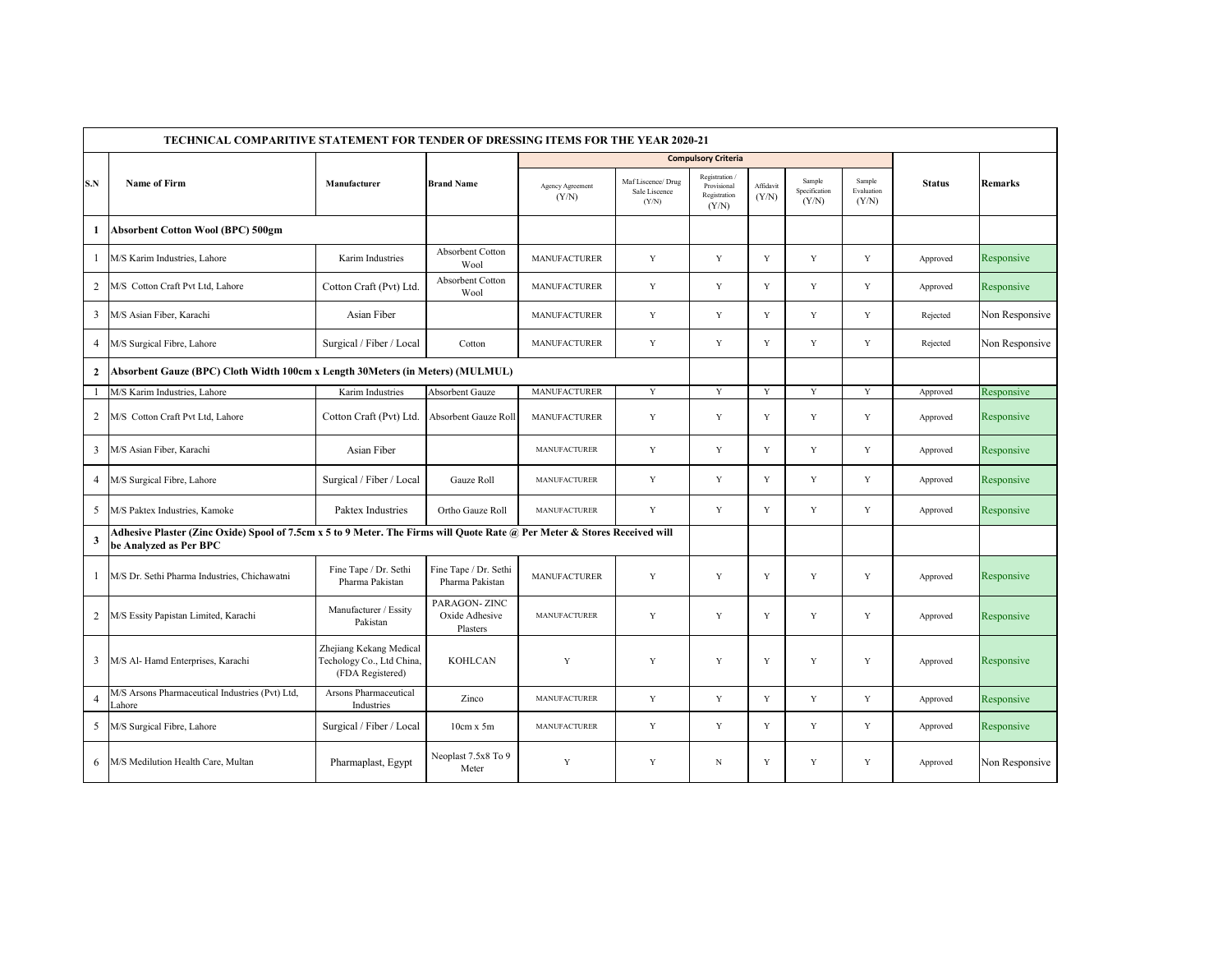|                | TECHNICAL COMPARITIVE STATEMENT FOR TENDER OF DRESSING ITEMS FOR THE YEAR 2020-21                                                                   |                                                                          |                                            |                           |                                              |                                                      |                    |                                  |                               |               |                |  |
|----------------|-----------------------------------------------------------------------------------------------------------------------------------------------------|--------------------------------------------------------------------------|--------------------------------------------|---------------------------|----------------------------------------------|------------------------------------------------------|--------------------|----------------------------------|-------------------------------|---------------|----------------|--|
|                |                                                                                                                                                     |                                                                          |                                            |                           |                                              | <b>Compulsory Criteria</b>                           |                    |                                  |                               |               |                |  |
| S.N            | <b>Name of Firm</b>                                                                                                                                 | Manufacturer                                                             | <b>Brand Name</b>                          | Agency Agreement<br>(Y/N) | Maf Liscence/ Drug<br>Sale Liscence<br>(Y/N) | Registration<br>Provisional<br>Registration<br>(Y/N) | Affidavit<br>(Y/N) | Sample<br>Specification<br>(Y/N) | Sample<br>Evaluation<br>(Y/N) | <b>Status</b> | <b>Remarks</b> |  |
| $\mathbf{1}$   | Absorbent Cotton Wool (BPC) 500gm                                                                                                                   |                                                                          |                                            |                           |                                              |                                                      |                    |                                  |                               |               |                |  |
|                | M/S Karim Industries, Lahore                                                                                                                        | Karim Industries                                                         | Absorbent Cotton<br>Wool                   | <b>MANUFACTURER</b>       | $\mathbf Y$                                  | $\mathbf Y$                                          | $\mathbf Y$        | $\mathbf Y$                      | $\mathbf Y$                   | Approved      | Responsive     |  |
| $\overline{c}$ | M/S Cotton Craft Pvt Ltd, Lahore                                                                                                                    | Cotton Craft (Pvt) Ltd.                                                  | Absorbent Cotton<br>Wool                   | MANUFACTURER              | Y                                            | $\mathbf Y$                                          | Y                  | $\mathbf Y$                      | Y                             | Approved      | Responsive     |  |
| 3              | M/S Asian Fiber, Karachi                                                                                                                            | Asian Fiber                                                              |                                            | MANUFACTURER              | Y                                            | $\mathbf Y$                                          | $\mathbf Y$        | $\mathbf Y$                      | $\mathbf Y$                   | Rejected      | Non Responsive |  |
| 4              | M/S Surgical Fibre, Lahore                                                                                                                          | Surgical / Fiber / Local                                                 | Cotton                                     | <b>MANUFACTURER</b>       | $\mathbf Y$                                  | $\mathbf Y$                                          | Y                  | $\mathbf Y$                      | $\mathbf Y$                   | Rejected      | Non Responsive |  |
|                | 2 Absorbent Gauze (BPC) Cloth Width 100cm x Length 30Meters (in Meters) (MULMUL)                                                                    |                                                                          |                                            |                           |                                              |                                                      |                    |                                  |                               |               |                |  |
|                | M/S Karim Industries, Lahore                                                                                                                        | Karim Industries                                                         | <b>Absorbent Gauze</b>                     | <b>MANUFACTURER</b>       | Y                                            | $\mathbf Y$                                          | Y                  | $\mathbf Y$                      | $\mathbf Y$                   | Approved      | Responsive     |  |
| 2              | M/S Cotton Craft Pvt Ltd, Lahore                                                                                                                    | Cotton Craft (Pvt) Ltd.                                                  | Absorbent Gauze Roll                       | <b>MANUFACTURER</b>       | $\mathbf Y$                                  | $\mathbf Y$                                          | $\mathbf Y$        | $\mathbf Y$                      | Y                             | Approved      | Responsive     |  |
| 3              | M/S Asian Fiber, Karachi                                                                                                                            | Asian Fiber                                                              |                                            | <b>MANUFACTURER</b>       | Y                                            | $\mathbf Y$                                          | Y                  | Y                                | Y                             | Approved      | Responsive     |  |
| 4              | M/S Surgical Fibre, Lahore                                                                                                                          | Surgical / Fiber / Local                                                 | Gauze Roll                                 | MANUFACTURER              | Y                                            | Y                                                    | Y                  | $\mathbf Y$                      | Y                             | Approved      | Responsive     |  |
| 5              | M/S Paktex Industries, Kamoke                                                                                                                       | Paktex Industries                                                        | Ortho Gauze Roll                           | <b>MANUFACTURER</b>       | $\mathbf Y$                                  | $\mathbf Y$                                          | $\mathbf Y$        | $\mathbf Y$                      | $\mathbf Y$                   | Approved      | Responsive     |  |
| 3              | Adhesive Plaster (Zinc Oxide) Spool of 7.5cm x 5 to 9 Meter. The Firms will Quote Rate @ Per Meter & Stores Received will<br>be Analyzed as Per BPC |                                                                          |                                            |                           |                                              |                                                      |                    |                                  |                               |               |                |  |
|                | M/S Dr. Sethi Pharma Industries, Chichawatni                                                                                                        | Fine Tape / Dr. Sethi<br>Pharma Pakistan                                 | Fine Tape / Dr. Sethi<br>Pharma Pakistan   | MANUFACTURER              | Y                                            | Y                                                    | Y                  | Y                                | Y                             | Approved      | Responsive     |  |
|                | 2 M/S Essity Papistan Limited, Karachi                                                                                                              | Manufacturer / Essity<br>Pakistan                                        | PARAGON-ZINC<br>Oxide Adhesive<br>Plasters | <b>MANUFACTURER</b>       | Y                                            | Y                                                    | Y                  | Y                                | Y                             | Approved      | Responsive     |  |
|                | 3 M/S Al-Hamd Enterprises, Karachi                                                                                                                  | Zhejiang Kekang Medical<br>Techology Co., Ltd China,<br>(FDA Registered) | <b>KOHLCAN</b>                             | Y                         | Y                                            | Y                                                    | Y                  | Y                                | Y                             | Approved      | Responsive     |  |
| $\overline{4}$ | M/S Arsons Pharmaceutical Industries (Pvt) Ltd,<br>Lahore                                                                                           | Arsons Pharmaceutical<br>Industries                                      | Zinco                                      | <b>MANUFACTURER</b>       | Y                                            | Y                                                    | Y                  | $\mathbf Y$                      | Y                             | Approved      | Responsive     |  |
| 5              | M/S Surgical Fibre, Lahore                                                                                                                          | Surgical / Fiber / Local                                                 | $10cm \times 5m$                           | MANUFACTURER              | Y                                            | $\mathbf Y$                                          | Y                  | Y                                | Y                             | Approved      | Responsive     |  |
| 6              | M/S Medilution Health Care, Multan                                                                                                                  | Pharmaplast, Egypt                                                       | Neoplast 7.5x8 To 9<br>Meter               | Y                         | Y                                            | N                                                    | Y                  | Y                                | Y                             | Approved      | Non Responsive |  |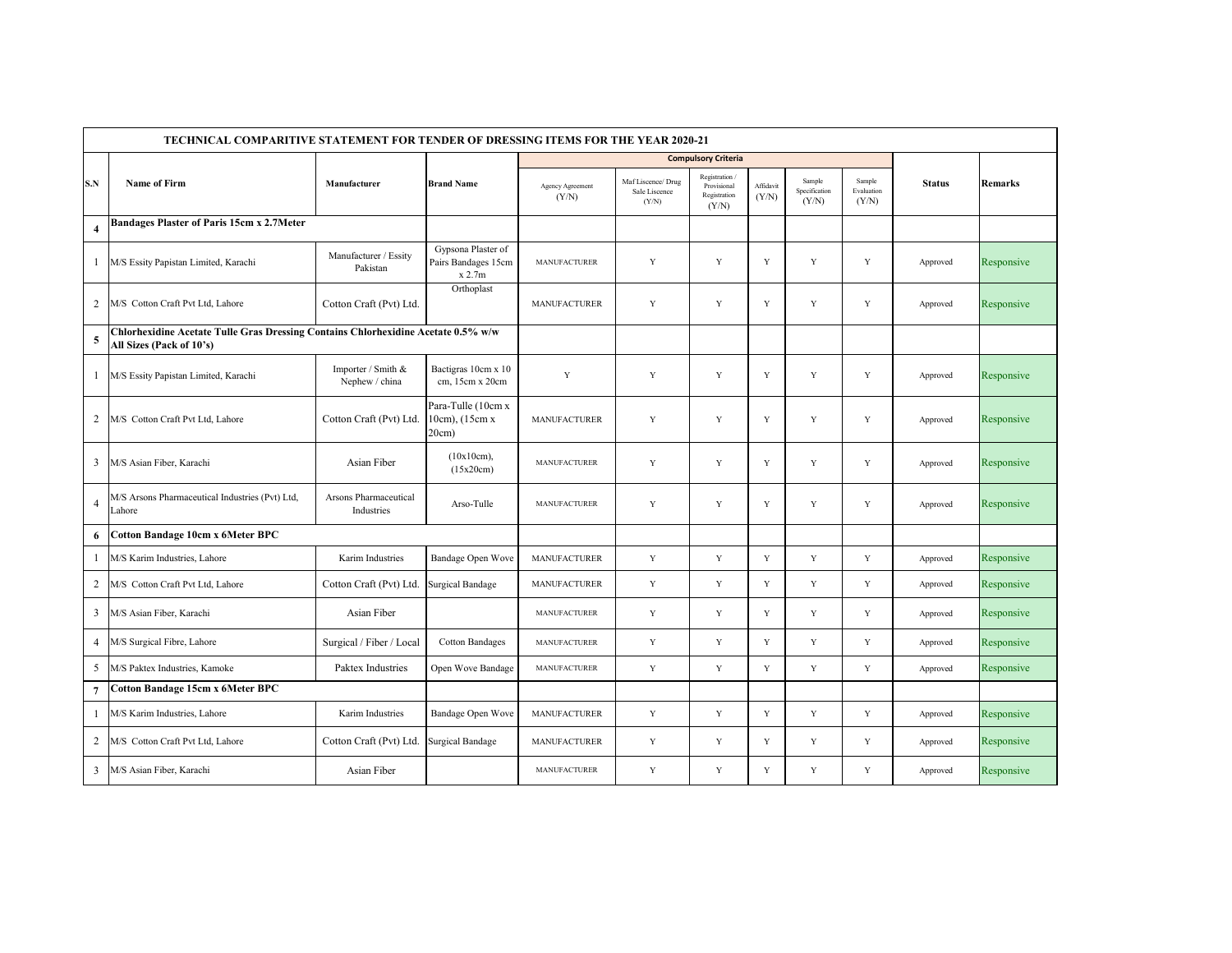|                  | TECHNICAL COMPARITIVE STATEMENT FOR TENDER OF DRESSING ITEMS FOR THE YEAR 2020-21                             |                                      |                                                     |                           |                                              |                                                      |                    |                                  |                               |               |                |  |
|------------------|---------------------------------------------------------------------------------------------------------------|--------------------------------------|-----------------------------------------------------|---------------------------|----------------------------------------------|------------------------------------------------------|--------------------|----------------------------------|-------------------------------|---------------|----------------|--|
|                  |                                                                                                               |                                      |                                                     |                           |                                              | <b>Compulsory Criteria</b>                           |                    |                                  |                               |               |                |  |
| S.N              | <b>Name of Firm</b>                                                                                           | Manufacturer                         | <b>Brand Name</b>                                   | Agency Agreement<br>(Y/N) | Maf Liscence/ Drug<br>Sale Liscence<br>(Y/N) | Registration<br>Provisional<br>Registration<br>(Y/N) | Affidavit<br>(Y/N) | Sample<br>Specification<br>(Y/N) | Sample<br>Evaluation<br>(Y/N) | <b>Status</b> | <b>Remarks</b> |  |
| $\overline{4}$   | Bandages Plaster of Paris 15cm x 2.7Meter                                                                     |                                      |                                                     |                           |                                              |                                                      |                    |                                  |                               |               |                |  |
| 1                | M/S Essity Papistan Limited, Karachi                                                                          | Manufacturer / Essity<br>Pakistan    | Gypsona Plaster of<br>Pairs Bandages 15cm<br>x 2.7m | <b>MANUFACTURER</b>       | Y                                            | $\mathbf Y$                                          | $\mathbf Y$        | Y                                | $\mathbf Y$                   | Approved      | Responsive     |  |
| 2                | M/S Cotton Craft Pvt Ltd, Lahore                                                                              | Cotton Craft (Pvt) Ltd.              | Orthoplast                                          | MANUFACTURER              | $\mathbf Y$                                  | Y                                                    | Y                  | Y                                | Y                             | Approved      | Responsive     |  |
| 5                | Chlorhexidine Acetate Tulle Gras Dressing Contains Chlorhexidine Acetate 0.5% w/w<br>All Sizes (Pack of 10's) |                                      |                                                     |                           |                                              |                                                      |                    |                                  |                               |               |                |  |
|                  | M/S Essity Papistan Limited, Karachi                                                                          | Importer / Smith &<br>Nephew / china | Bactigras 10cm x 10<br>cm, 15cm x 20cm              | $\mathbf Y$               | Y                                            | $\mathbf Y$                                          | $\mathbf Y$        | Y                                | Y                             | Approved      | Responsive     |  |
| 2                | M/S Cotton Craft Pvt Ltd, Lahore                                                                              | Cotton Craft (Pvt) Ltd.              | Para-Tulle (10cm x<br>$10cm$ , $(15cm x)$<br>20cm)  | MANUFACTURER              | Y                                            | Y                                                    | Y                  | Y                                | Y                             | Approved      | Responsive     |  |
| 3                | M/S Asian Fiber, Karachi                                                                                      | Asian Fiber                          | $(10x10cm)$ ,<br>(15x20cm)                          | <b>MANUFACTURER</b>       | $\mathbf Y$                                  | Y                                                    | Y                  | Y                                | Y                             | Approved      | Responsive     |  |
| $\overline{4}$   | M/S Arsons Pharmaceutical Industries (Pvt) Ltd,<br>Lahore                                                     | Arsons Pharmaceutical<br>Industries  | Arso-Tulle                                          | MANUFACTURER              | Y                                            | Y                                                    | Y                  | Y                                | $\mathbf Y$                   | Approved      | Responsive     |  |
| 6                | Cotton Bandage 10cm x 6Meter BPC                                                                              |                                      |                                                     |                           |                                              |                                                      |                    |                                  |                               |               |                |  |
|                  | M/S Karim Industries, Lahore                                                                                  | Karim Industries                     | <b>Bandage Open Wove</b>                            | <b>MANUFACTURER</b>       | Y                                            | $\mathbf Y$                                          | Y                  | Y                                | Y                             | Approved      | Responsive     |  |
| $\boldsymbol{2}$ | M/S Cotton Craft Pvt Ltd, Lahore                                                                              | Cotton Craft (Pvt) Ltd.              | Surgical Bandage                                    | MANUFACTURER              | $\mathbf Y$                                  | $\mathbf Y$                                          | Y                  | $\mathbf Y$                      | Y                             | Approved      | Responsive     |  |
| 3                | M/S Asian Fiber, Karachi                                                                                      | Asian Fiber                          |                                                     | <b>MANUFACTURER</b>       | $\mathbf Y$                                  | $\mathbf Y$                                          | Y                  | $\mathbf Y$                      | Y                             | Approved      | Responsive     |  |
| 4                | M/S Surgical Fibre, Lahore                                                                                    | Surgical / Fiber / Local             | <b>Cotton Bandages</b>                              | <b>MANUFACTURER</b>       | $\mathbf Y$                                  | $\mathbf Y$                                          | $\mathbf Y$        | $\mathbf Y$                      | $\mathbf Y$                   | Approved      | Responsive     |  |
| 5                | M/S Paktex Industries, Kamoke                                                                                 | Paktex Industries                    | Open Wove Bandage                                   | <b>MANUFACTURER</b>       | $\mathbf Y$                                  | $\mathbf Y$                                          | Y                  | $\mathbf Y$                      | $\mathbf Y$                   | Approved      | Responsive     |  |
| $7\phantom{.0}$  | Cotton Bandage 15cm x 6Meter BPC                                                                              |                                      |                                                     |                           |                                              |                                                      |                    |                                  |                               |               |                |  |
| 1                | M/S Karim Industries, Lahore                                                                                  | Karim Industries                     | <b>Bandage Open Wove</b>                            | <b>MANUFACTURER</b>       | Y                                            | Y                                                    | Y                  | Y                                | Y                             | Approved      | Responsive     |  |
| $\sqrt{2}$       | M/S Cotton Craft Pvt Ltd, Lahore                                                                              | Cotton Craft (Pvt) Ltd.              | <b>Surgical Bandage</b>                             | MANUFACTURER              | $\mathbf Y$                                  | $\mathbf Y$                                          | Y                  | $\mathbf Y$                      | $\mathbf Y$                   | Approved      | Responsive     |  |
| 3                | M/S Asian Fiber, Karachi                                                                                      | Asian Fiber                          |                                                     | MANUFACTURER              | $\mathbf Y$                                  | Y                                                    | Y                  | Y                                | Y                             | Approved      | Responsive     |  |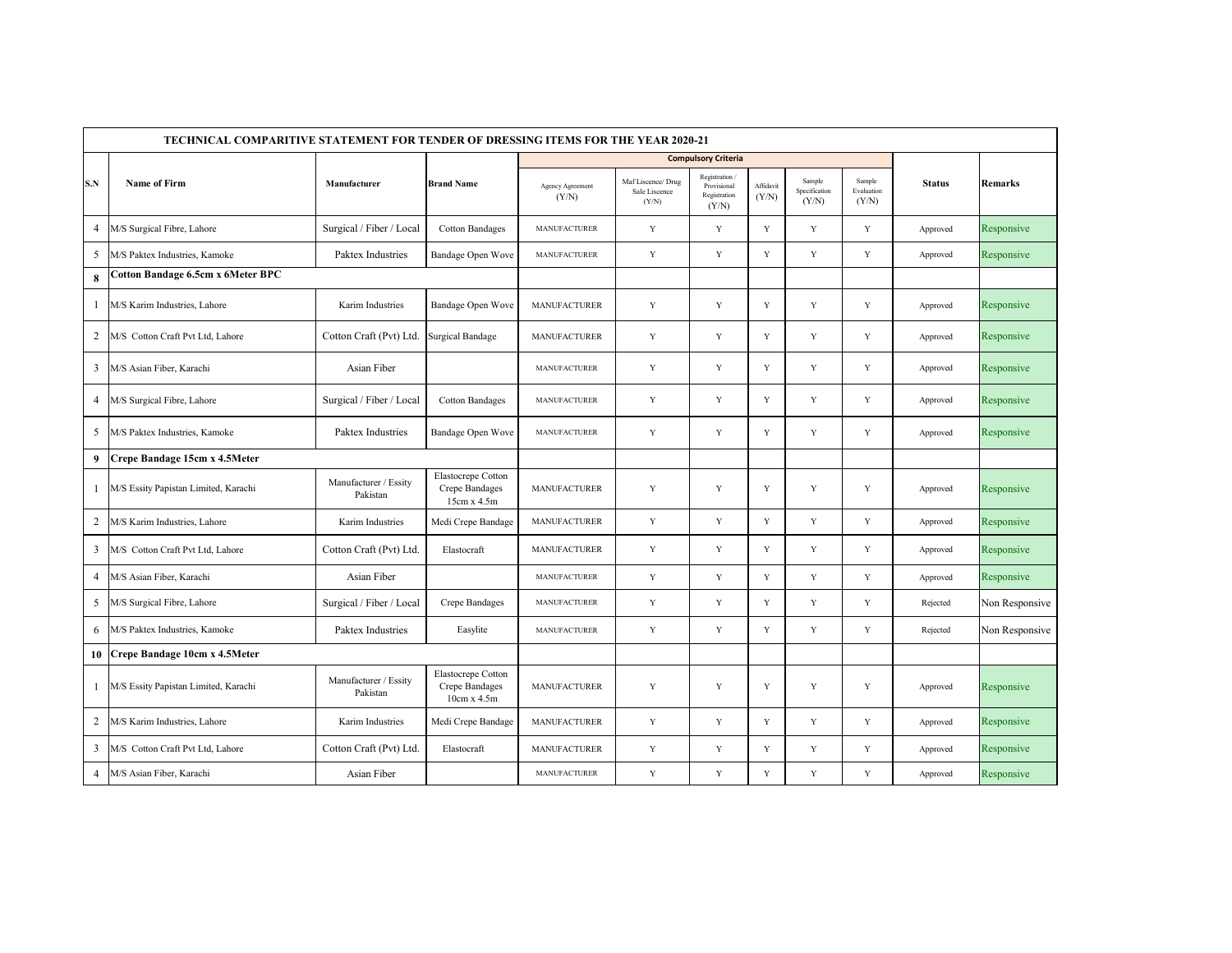|                | TECHNICAL COMPARITIVE STATEMENT FOR TENDER OF DRESSING ITEMS FOR THE YEAR 2020-21 |                                   |                                                     |                           |                                              |                                                        |                    |                                  |                               |               |                |  |
|----------------|-----------------------------------------------------------------------------------|-----------------------------------|-----------------------------------------------------|---------------------------|----------------------------------------------|--------------------------------------------------------|--------------------|----------------------------------|-------------------------------|---------------|----------------|--|
|                |                                                                                   |                                   |                                                     |                           |                                              | <b>Compulsory Criteria</b>                             |                    |                                  |                               |               |                |  |
| S.N            | <b>Name of Firm</b>                                                               | Manufacturer                      | <b>Brand Name</b>                                   | Agency Agreement<br>(Y/N) | Maf Liscence/ Drug<br>Sale Liscence<br>(Y/N) | Registration /<br>Provisional<br>Registration<br>(Y/N) | Affidavit<br>(Y/N) | Sample<br>Specification<br>(Y/N) | Sample<br>Evaluation<br>(Y/N) | <b>Status</b> | <b>Remarks</b> |  |
| 4              | M/S Surgical Fibre, Lahore                                                        | Surgical / Fiber / Local          | <b>Cotton Bandages</b>                              | <b>MANUFACTURER</b>       | $\mathbf Y$                                  | $\mathbf Y$                                            | Y                  | $\mathbf Y$                      | $\mathbf Y$                   | Approved      | Responsive     |  |
| 5              | M/S Paktex Industries, Kamoke                                                     | Paktex Industries                 | <b>Bandage Open Wove</b>                            | MANUFACTURER              | Y                                            | $\mathbf Y$                                            | Y                  | Y                                | $\mathbf Y$                   | Approved      | Responsive     |  |
| 8              | Cotton Bandage 6.5cm x 6Meter BPC                                                 |                                   |                                                     |                           |                                              |                                                        |                    |                                  |                               |               |                |  |
|                | M/S Karim Industries, Lahore                                                      | Karim Industries                  | <b>Bandage Open Wove</b>                            | <b>MANUFACTURER</b>       | Y                                            | $\mathbf Y$                                            | $\mathbf Y$        | Y                                | $\mathbf Y$                   | Approved      | Responsive     |  |
| $\overline{c}$ | M/S Cotton Craft Pvt Ltd, Lahore                                                  | Cotton Craft (Pvt) Ltd.           | <b>Surgical Bandage</b>                             | MANUFACTURER              | Y                                            | $\mathbf Y$                                            | $\mathbf Y$        | $\mathbf Y$                      | $\mathbf Y$                   | Approved      | Responsive     |  |
| 3              | M/S Asian Fiber, Karachi                                                          | Asian Fiber                       |                                                     | <b>MANUFACTURER</b>       | Y                                            | Y                                                      | $\mathbf Y$        | Y                                | Y                             | Approved      | Responsive     |  |
|                | 4 M/S Surgical Fibre, Lahore                                                      | Surgical / Fiber / Local          | <b>Cotton Bandages</b>                              | <b>MANUFACTURER</b>       | Y                                            | Y                                                      | Y                  | Y                                | Y                             | Approved      | Responsive     |  |
| 5              | M/S Paktex Industries, Kamoke                                                     | Paktex Industries                 | <b>Bandage Open Wove</b>                            | MANUFACTURER              | Y                                            | $\mathbf Y$                                            | Y                  | Y                                | $\mathbf Y$                   | Approved      | Responsive     |  |
| 9              | Crepe Bandage 15cm x 4.5Meter                                                     |                                   |                                                     |                           |                                              |                                                        |                    |                                  |                               |               |                |  |
|                | 1 M/S Essity Papistan Limited, Karachi                                            | Manufacturer / Essity<br>Pakistan | Elastocrepe Cotton<br>Crepe Bandages<br>15cm x 4.5m | <b>MANUFACTURER</b>       | Y                                            | Y                                                      | Y                  | Y                                | $\mathbf Y$                   | Approved      | Responsive     |  |
| 2              | M/S Karim Industries, Lahore                                                      | Karim Industries                  | Medi Crepe Bandage                                  | <b>MANUFACTURER</b>       | Y                                            | $\mathbf Y$                                            | $\mathbf Y$        | Y                                | Y                             | Approved      | Responsive     |  |
| 3              | M/S Cotton Craft Pvt Ltd, Lahore                                                  | Cotton Craft (Pvt) Ltd.           | Elastocraft                                         | <b>MANUFACTURER</b>       | Y                                            | $\mathbf Y$                                            | Y                  | Y                                | Y                             | Approved      | Responsive     |  |
| $\overline{4}$ | M/S Asian Fiber, Karachi                                                          | Asian Fiber                       |                                                     | MANUFACTURER              | Y                                            | Y                                                      | Y                  | Y                                | Y                             | Approved      | Responsive     |  |
| 5              | M/S Surgical Fibre, Lahore                                                        | Surgical / Fiber / Local          | Crepe Bandages                                      | <b>MANUFACTURER</b>       | Y                                            | $\mathbf Y$                                            | $\mathbf Y$        | Y                                | $\mathbf Y$                   | Rejected      | Non Responsive |  |
| 6              | M/S Paktex Industries, Kamoke                                                     | Paktex Industries                 | Easylite                                            | MANUFACTURER              | Y                                            | Y                                                      | Y                  | Y                                | Y                             | Rejected      | Non Responsive |  |
| 10             | Crepe Bandage 10cm x 4.5Meter                                                     |                                   |                                                     |                           |                                              |                                                        |                    |                                  |                               |               |                |  |
|                | 1 M/S Essity Papistan Limited, Karachi                                            | Manufacturer / Essity<br>Pakistan | Elastocrepe Cotton<br>Crepe Bandages<br>10cm x 4.5m | <b>MANUFACTURER</b>       | Y                                            | Y                                                      | Y                  | Y                                | Y                             | Approved      | Responsive     |  |
| $\overline{c}$ | M/S Karim Industries, Lahore                                                      | Karim Industries                  | Medi Crepe Bandage                                  | <b>MANUFACTURER</b>       | Y                                            | $\mathbf Y$                                            | $\mathbf Y$        | $\mathbf Y$                      | $\mathbf Y$                   | Approved      | Responsive     |  |
| 3              | M/S Cotton Craft Pvt Ltd, Lahore                                                  | Cotton Craft (Pvt) Ltd.           | Elastocraft                                         | <b>MANUFACTURER</b>       | Y                                            | $\mathbf Y$                                            | $\mathbf Y$        | $\mathbf Y$                      | Y                             | Approved      | Responsive     |  |
| $\overline{4}$ | M/S Asian Fiber, Karachi                                                          | Asian Fiber                       |                                                     | <b>MANUFACTURER</b>       | Y                                            | $\mathbf Y$                                            | $\mathbf Y$        | Y                                | $\mathbf Y$                   | Approved      | Responsive     |  |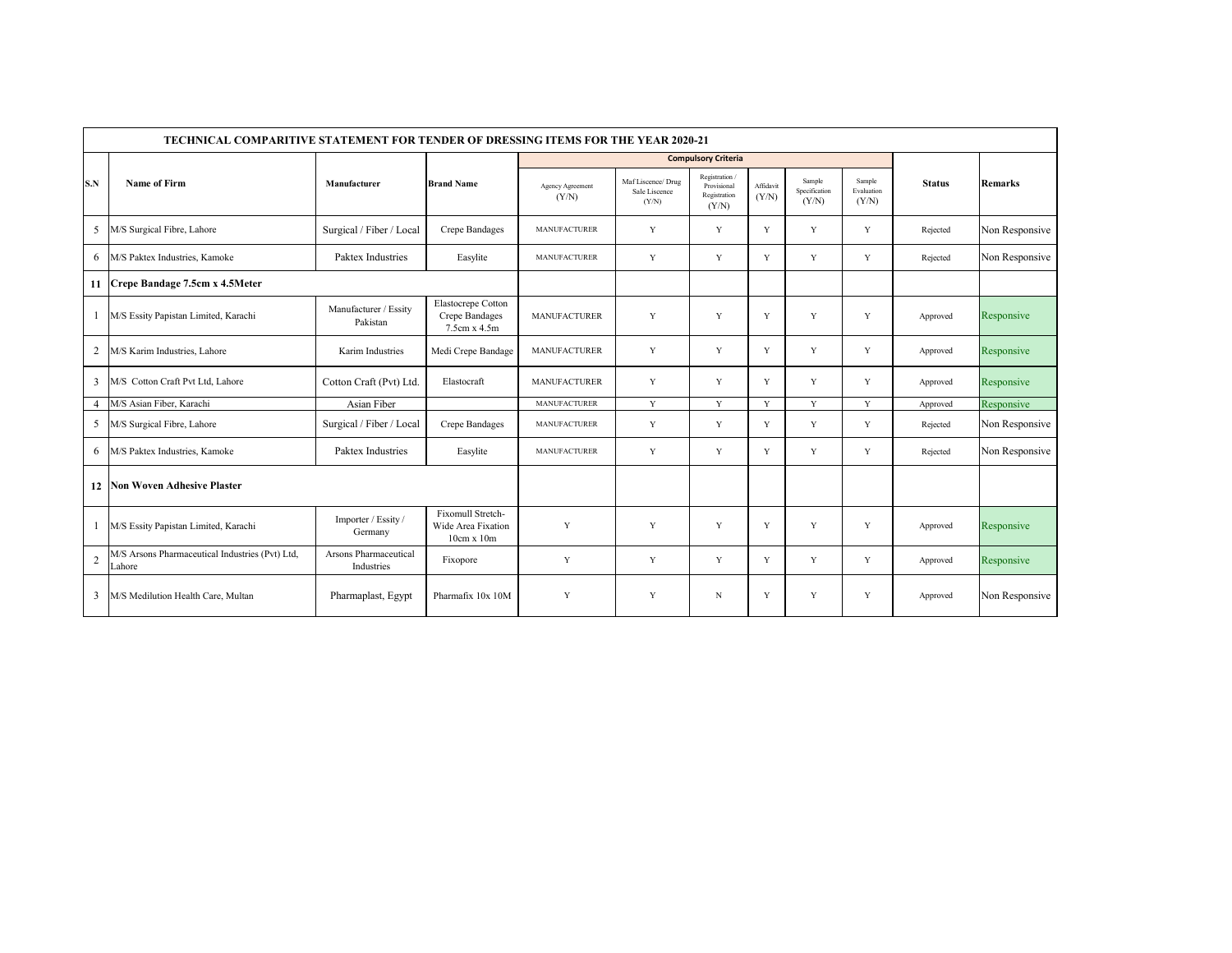|                | <b>TECHNICAL COMPARITIVE STATEMENT FOR TENDER OF DRESSING ITEMS FOR THE YEAR 2020-21</b> |                                     |                                                              |                           |                                             |                                                      |                    |                                  |                               |               |                |  |  |
|----------------|------------------------------------------------------------------------------------------|-------------------------------------|--------------------------------------------------------------|---------------------------|---------------------------------------------|------------------------------------------------------|--------------------|----------------------------------|-------------------------------|---------------|----------------|--|--|
|                | <b>Name of Firm</b>                                                                      | Manufacturer                        |                                                              |                           |                                             | <b>Compulsory Criteria</b>                           |                    |                                  |                               |               |                |  |  |
| S.N            |                                                                                          |                                     | <b>Brand Name</b>                                            | Agency Agreement<br>(Y/N) | Maf Liscence/Drug<br>Sale Liscence<br>(Y/N) | Registration<br>Provisional<br>Registration<br>(Y/N) | Affidavit<br>(Y/N) | Sample<br>Specification<br>(Y/N) | Sample<br>Evaluation<br>(Y/N) | <b>Status</b> | <b>Remarks</b> |  |  |
| 5              | M/S Surgical Fibre, Lahore                                                               | Surgical / Fiber / Local            | Crepe Bandages                                               | <b>MANUFACTURER</b>       | Y                                           | Y                                                    | Y                  | Y                                | Y                             | Rejected      | Non Responsive |  |  |
| 6              | M/S Paktex Industries, Kamoke                                                            | Paktex Industries                   | Easylite                                                     | <b>MANUFACTURER</b>       | Y                                           | Y                                                    | Y                  | Y                                | Y                             | Rejected      | Non Responsive |  |  |
|                | 11 Crepe Bandage 7.5cm x 4.5Meter                                                        |                                     |                                                              |                           |                                             |                                                      |                    |                                  |                               |               |                |  |  |
|                | M/S Essity Papistan Limited, Karachi                                                     | Manufacturer / Essity<br>Pakistan   | Elastocrepe Cotton<br>Crepe Bandages<br>7.5cm x 4.5m         | <b>MANUFACTURER</b>       | Y                                           | Y                                                    | Y                  | Y                                | Y                             | Approved      | Responsive     |  |  |
| 2              | M/S Karim Industries, Lahore                                                             | Karim Industries                    | Medi Crepe Bandage                                           | <b>MANUFACTURER</b>       | Y                                           | Y                                                    | Y                  | Y                                | Y                             | Approved      | Responsive     |  |  |
| 3              | M/S Cotton Craft Pvt Ltd, Lahore                                                         | Cotton Craft (Pvt) Ltd.             | Elastocraft                                                  | <b>MANUFACTURER</b>       | Y                                           | Y                                                    | Y                  | Y                                | Y                             | Approved      | Responsive     |  |  |
| $\overline{4}$ | M/S Asian Fiber, Karachi                                                                 | Asian Fiber                         |                                                              | <b>MANUFACTURER</b>       | Y                                           | Y                                                    | Y                  | Y                                | Y                             | Approved      | Responsive     |  |  |
| 5              | M/S Surgical Fibre, Lahore                                                               | Surgical / Fiber / Local            | Crepe Bandages                                               | <b>MANUFACTURER</b>       | Y                                           | Y                                                    | Y                  | Y                                | Y                             | Rejected      | Non Responsive |  |  |
| 6              | M/S Paktex Industries, Kamoke                                                            | Paktex Industries                   | Easylite                                                     | <b>MANUFACTURER</b>       | Y                                           | Y                                                    | Y                  | Y                                | Y                             | Rejected      | Non Responsive |  |  |
| 12             | <b>Non Woven Adhesive Plaster</b>                                                        |                                     |                                                              |                           |                                             |                                                      |                    |                                  |                               |               |                |  |  |
|                | M/S Essity Papistan Limited, Karachi                                                     | Importer / Essity /<br>Germany      | Fixomull Stretch-<br>Wide Area Fixation<br>$10cm \times 10m$ | Y                         | Y                                           | Y                                                    | Y                  | Y                                | Y                             | Approved      | Responsive     |  |  |
| $\overline{2}$ | M/S Arsons Pharmaceutical Industries (Pvt) Ltd,<br>Lahore                                | Arsons Pharmaceutical<br>Industries | Fixopore                                                     | Y                         | Y                                           | Y                                                    | Y                  | Y                                | Y                             | Approved      | Responsive     |  |  |
| 3              | M/S Medilution Health Care, Multan                                                       | Pharmaplast, Egypt                  | Pharmafix 10x 10M                                            | Y                         | Y                                           | N                                                    | Y                  | Y                                | Y                             | Approved      | Non Responsive |  |  |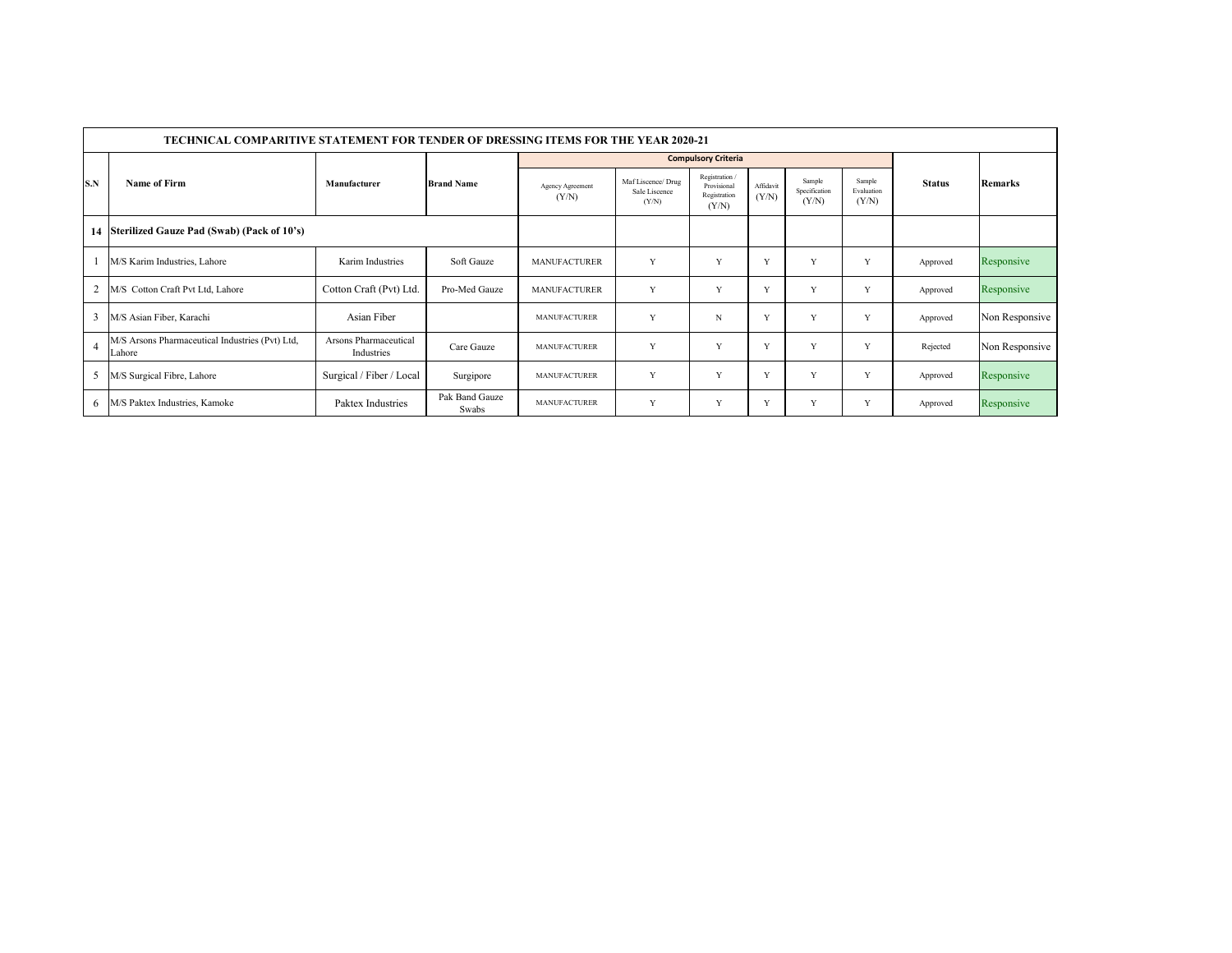|     | TECHNICAL COMPARITIVE STATEMENT FOR TENDER OF DRESSING ITEMS FOR THE YEAR 2020-21 |                                     |                         |                           |                                              |                                                        |                    |                                  |                               |               |                |  |
|-----|-----------------------------------------------------------------------------------|-------------------------------------|-------------------------|---------------------------|----------------------------------------------|--------------------------------------------------------|--------------------|----------------------------------|-------------------------------|---------------|----------------|--|
|     |                                                                                   |                                     |                         |                           |                                              | <b>Compulsory Criteria</b>                             |                    |                                  |                               |               |                |  |
| S.N | <b>Name of Firm</b>                                                               | Manufacturer                        | <b>Brand Name</b>       | Agency Agreement<br>(Y/N) | Maf Liscence/ Drug<br>Sale Liscence<br>(Y/N) | Registration /<br>Provisional<br>Registration<br>(Y/N) | Affidavit<br>(Y/N) | Sample<br>Specification<br>(Y/N) | Sample<br>Evaluation<br>(Y/N) | <b>Status</b> | <b>Remarks</b> |  |
|     | 14 Sterilized Gauze Pad (Swab) (Pack of 10's)                                     |                                     |                         |                           |                                              |                                                        |                    |                                  |                               |               |                |  |
|     | M/S Karim Industries, Lahore                                                      | Karim Industries                    | Soft Gauze              | <b>MANUFACTURER</b>       | Y                                            | Y                                                      | Y                  | V                                | Y                             | Approved      | Responsive     |  |
|     | M/S Cotton Craft Pvt Ltd, Lahore                                                  | Cotton Craft (Pvt) Ltd.             | Pro-Med Gauze           | <b>MANUFACTURER</b>       | Y                                            | Y                                                      | Y                  | Y                                | Y                             | Approved      | Responsive     |  |
| 3   | M/S Asian Fiber, Karachi                                                          | Asian Fiber                         |                         | <b>MANUFACTURER</b>       | Y                                            | N                                                      | Y                  | v                                | Y                             | Approved      | Non Responsive |  |
|     | M/S Arsons Pharmaceutical Industries (Pvt) Ltd,<br>Lahore                         | Arsons Pharmaceutical<br>Industries | Care Gauze              | <b>MANUFACTURER</b>       | Y                                            | Y                                                      | Y                  | V                                | Y                             | Rejected      | Non Responsive |  |
| 5   | M/S Surgical Fibre, Lahore                                                        | Surgical / Fiber / Local            | Surgipore               | <b>MANUFACTURER</b>       | Y                                            | v                                                      | $\mathbf{v}$       | v                                | Y                             | Approved      | Responsive     |  |
| 6   | M/S Paktex Industries, Kamoke                                                     | Paktex Industries                   | Pak Band Gauze<br>Swabs | <b>MANUFACTURER</b>       | Y                                            | Y                                                      | Y                  | $\mathbf{v}$                     | Y                             | Approved      | Responsive     |  |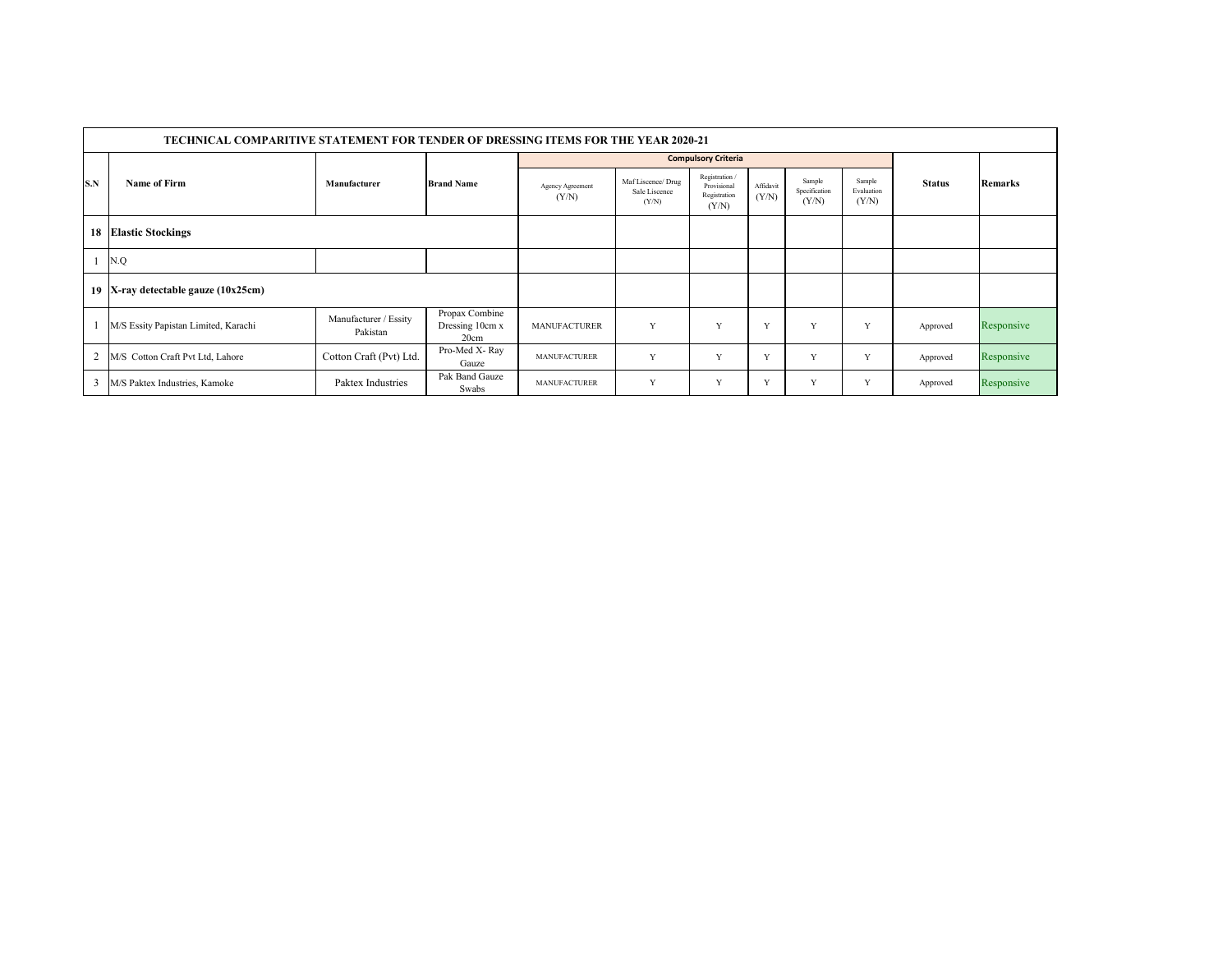|     | <b>TECHNICAL COMPARITIVE STATEMENT FOR TENDER OF DRESSING ITEMS FOR THE YEAR 2020-21</b> |                                   |                                           |                           |                                             |                                                        |                    |                                  |                               |               |                |  |
|-----|------------------------------------------------------------------------------------------|-----------------------------------|-------------------------------------------|---------------------------|---------------------------------------------|--------------------------------------------------------|--------------------|----------------------------------|-------------------------------|---------------|----------------|--|
|     | <b>Name of Firm</b>                                                                      |                                   |                                           |                           | <b>Compulsory Criteria</b>                  |                                                        |                    |                                  |                               |               |                |  |
| S.N |                                                                                          | Manufacturer                      | <b>Brand Name</b>                         | Agency Agreement<br>(Y/N) | Maf Liscence/Drug<br>Sale Liscence<br>(Y/N) | Registration /<br>Provisional<br>Registration<br>(Y/N) | Affidavit<br>(Y/N) | Sample<br>Specification<br>(Y/N) | Sample<br>Evaluation<br>(Y/N) | <b>Status</b> | <b>Remarks</b> |  |
| 18  | <b>Elastic Stockings</b>                                                                 |                                   |                                           |                           |                                             |                                                        |                    |                                  |                               |               |                |  |
|     | N.Q                                                                                      |                                   |                                           |                           |                                             |                                                        |                    |                                  |                               |               |                |  |
|     | 19   X-ray detectable gauze $(10x25cm)$                                                  |                                   |                                           |                           |                                             |                                                        |                    |                                  |                               |               |                |  |
|     | M/S Essity Papistan Limited, Karachi                                                     | Manufacturer / Essity<br>Pakistan | Propax Combine<br>Dressing 10cm x<br>20cm | MANUFACTURER              | Y                                           | Y                                                      | Y                  | Y                                | $\mathbf{v}$                  | Approved      | Responsive     |  |
| 2   | M/S Cotton Craft Pvt Ltd, Lahore                                                         | Cotton Craft (Pvt) Ltd.           | Pro-Med X-Ray<br>Gauze                    | MANUFACTURER              | Y                                           | Y                                                      | Y                  | Y                                | Y                             | Approved      | Responsive     |  |
| 3   | M/S Paktex Industries, Kamoke                                                            | Paktex Industries                 | Pak Band Gauze<br>Swabs                   | <b>MANUFACTURER</b>       | Y                                           | Y                                                      |                    | v                                | $\mathbf{v}$                  | Approved      | Responsive     |  |